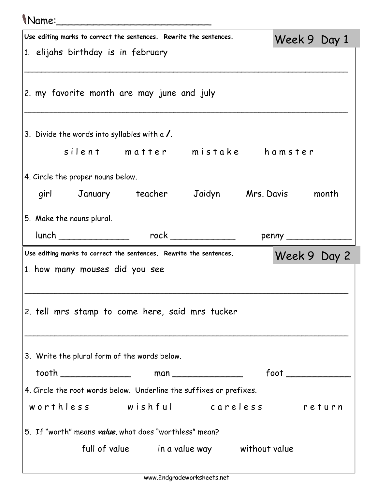| <i>Name</i> :                                                       |                      |  |  |  |  |  |
|---------------------------------------------------------------------|----------------------|--|--|--|--|--|
| Use editing marks to correct the sentences. Rewrite the sentences.  | Week 9 Day 1         |  |  |  |  |  |
| 1. elijahs birthday is in february                                  |                      |  |  |  |  |  |
| 2. my favorite month are may june and july                          |                      |  |  |  |  |  |
| 3. Divide the words into syllables with a /.                        |                      |  |  |  |  |  |
| silent matter mistake hamster                                       |                      |  |  |  |  |  |
| 4. Circle the proper nouns below.                                   |                      |  |  |  |  |  |
| girl January teacher Jaidyn Mrs. Davis month                        |                      |  |  |  |  |  |
| 5. Make the nouns plural.                                           |                      |  |  |  |  |  |
|                                                                     |                      |  |  |  |  |  |
| Use editing marks to correct the sentences. Rewrite the sentences.  |                      |  |  |  |  |  |
|                                                                     | Week 9 Day 2         |  |  |  |  |  |
| 1. how many mouses did you see                                      |                      |  |  |  |  |  |
| 2. tell mrs stamp to come here, said mrs tucker                     |                      |  |  |  |  |  |
| 3. Write the plural form of the words below.                        |                      |  |  |  |  |  |
|                                                                     | foot _______________ |  |  |  |  |  |
| 4. Circle the root words below. Underline the suffixes or prefixes. |                      |  |  |  |  |  |
| worthless wishful careless return                                   |                      |  |  |  |  |  |
| 5. If "worth" means value, what does "worthless" mean?              |                      |  |  |  |  |  |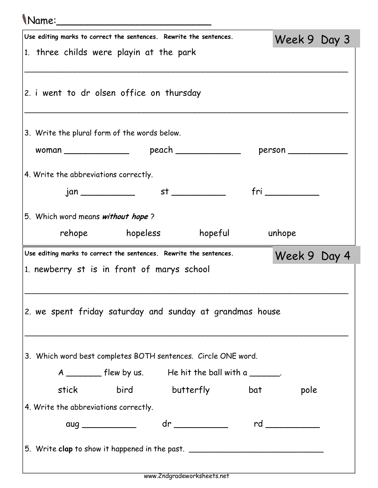## Name:\_\_\_\_\_\_\_\_\_\_\_\_\_\_\_\_\_\_\_\_\_\_\_\_\_

| Use editing marks to correct the sentences. Rewrite the sentences.                 | Week 9 Day 3  |  |  |  |  |  |  |
|------------------------------------------------------------------------------------|---------------|--|--|--|--|--|--|
| 1. three childs were playin at the park                                            |               |  |  |  |  |  |  |
|                                                                                    |               |  |  |  |  |  |  |
| 2. i went to dr olsen office on thursday                                           |               |  |  |  |  |  |  |
|                                                                                    |               |  |  |  |  |  |  |
| 3. Write the plural form of the words below.                                       |               |  |  |  |  |  |  |
|                                                                                    |               |  |  |  |  |  |  |
| 4. Write the abbreviations correctly.                                              |               |  |  |  |  |  |  |
| st <sub>ation</sub>                                                                | $fri$ and $f$ |  |  |  |  |  |  |
|                                                                                    |               |  |  |  |  |  |  |
| 5. Which word means without hope?                                                  |               |  |  |  |  |  |  |
| rehope hopeless hopeful unhope                                                     |               |  |  |  |  |  |  |
| Use editing marks to correct the sentences. Rewrite the sentences.<br>Week 9 Day 4 |               |  |  |  |  |  |  |
| 1. newberry st is in front of marys school                                         |               |  |  |  |  |  |  |
|                                                                                    |               |  |  |  |  |  |  |
| 2. we spent friday saturday and sunday at grandmas house                           |               |  |  |  |  |  |  |
|                                                                                    |               |  |  |  |  |  |  |
|                                                                                    |               |  |  |  |  |  |  |
| 3. Which word best completes BOTH sentences. Circle ONE word.                      |               |  |  |  |  |  |  |
| A _________ flew by us. He hit the ball with a _______.                            |               |  |  |  |  |  |  |
| bird butterfly bat<br>stick                                                        | pole          |  |  |  |  |  |  |
| 4. Write the abbreviations correctly.                                              |               |  |  |  |  |  |  |
| dr _____________ rd __________                                                     |               |  |  |  |  |  |  |
|                                                                                    |               |  |  |  |  |  |  |
| 5. Write clap to show it happened in the past. _________________________________   |               |  |  |  |  |  |  |